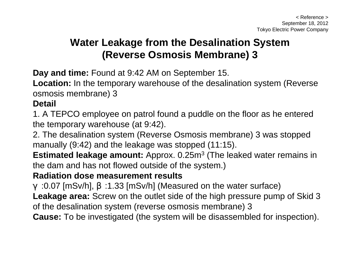# **Water Leakage from the Desalination System (Reverse Osmosis Membrane) 3**

**Day and time:** Found at 9:42 AM on September 15.

**Location:** In the temporary warehouse of the desalination system (Reverse osmosis membrane) 3

#### **Detail**

1. A TEPCO employee on patrol found a puddle on the floor as he entered the temporary warehouse (at 9:42).

2. The desalination system (Reverse Osmosis membrane) 3 was stopped manually (9:42) and the leakage was stopped (11:15).

**Estimated leakage amount:** Approx. 0.25m<sup>3</sup> (The leaked water remains in the dam and has not flowed outside of the system.)

#### **Radiation dose measurement results**

:0.07 [mSv/h], :1.33 [mSv/h] (Measured on the water surface) **Leakage area:** Screw on the outlet side of the high pressure pump of Skid 3 of the desalination system (reverse osmosis membrane) 3 **Cause:** To be investigated (the system will be disassembled for inspection).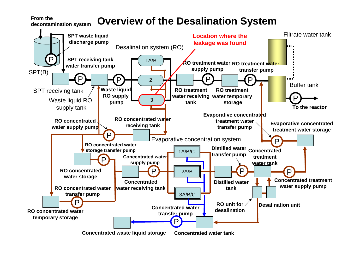**From the** 

**decontamination system**

## **Overview of the Desalination System**

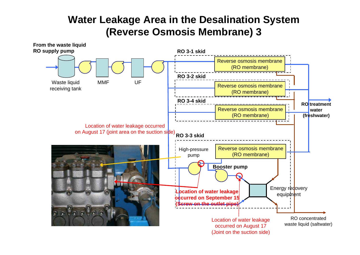### **Water Leakage Area in the Desalination System (Reverse Osmosis Membrane) 3**